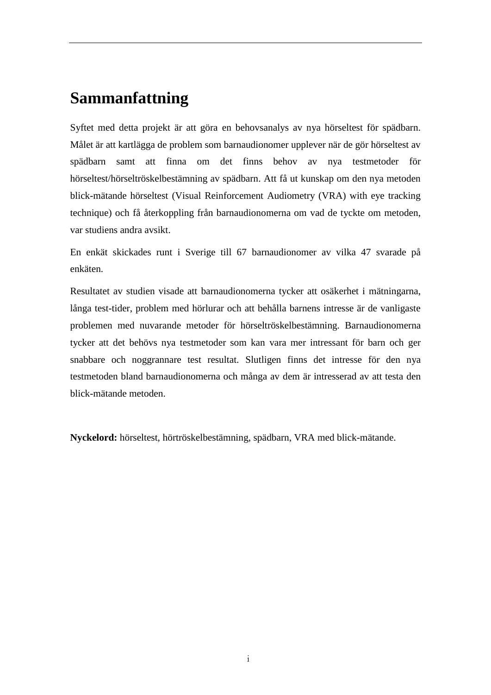## **Sammanfattning**

Syftet med detta projekt är att göra en behovsanalys av nya hörseltest för spädbarn. Målet är att kartlägga de problem som barnaudionomer upplever när de gör hörseltest av spädbarn samt att finna om det finns behov av nya testmetoder för hörseltest/hörseltröskelbestämning av spädbarn. Att få ut kunskap om den nya metoden blick-mätande hörseltest (Visual Reinforcement Audiometry (VRA) with eye tracking technique) och få återkoppling från barnaudionomerna om vad de tyckte om metoden, var studiens andra avsikt.

En enkät skickades runt i Sverige till 67 barnaudionomer av vilka 47 svarade på enkäten.

Resultatet av studien visade att barnaudionomerna tycker att osäkerhet i mätningarna, långa test-tider, problem med hörlurar och att behålla barnens intresse är de vanligaste problemen med nuvarande metoder för hörseltröskelbestämning. Barnaudionomerna tycker att det behövs nya testmetoder som kan vara mer intressant för barn och ger snabbare och noggrannare test resultat. Slutligen finns det intresse för den nya testmetoden bland barnaudionomerna och många av dem är intresserad av att testa den blick-mätande metoden.

**Nyckelord:** hörseltest, hörtröskelbestämning, spädbarn, VRA med blick-mätande.